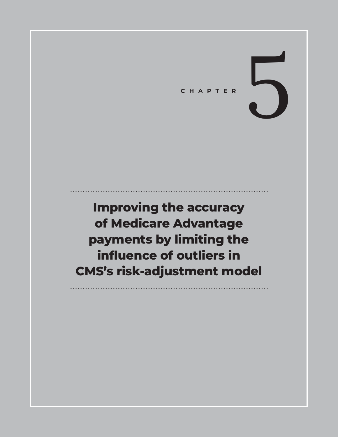# CHAPTER

**Improving the accuracy of Medicare Advantage payments by limiting the influence of outliers in CMS's risk-adjustment model**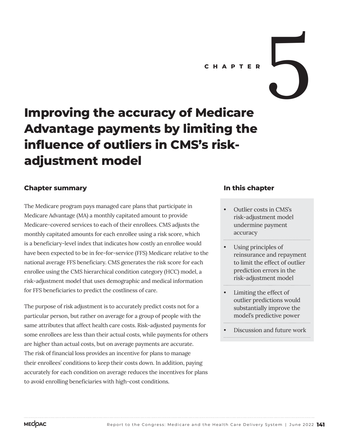# CHAPTER<br> **CHAPTER**

# **Improving the accuracy of Medicare Advantage payments by limiting the influence of outliers in CMS's riskadjustment model**

#### **Chapter summary**

The Medicare program pays managed care plans that participate in Medicare Advantage (MA) a monthly capitated amount to provide Medicare-covered services to each of their enrollees. CMS adjusts the monthly capitated amounts for each enrollee using a risk score, which is a beneficiary-level index that indicates how costly an enrollee would have been expected to be in fee-for-service (FFS) Medicare relative to the national average FFS beneficiary. CMS generates the risk score for each enrollee using the CMS hierarchical condition category (HCC) model, a risk-adjustment model that uses demographic and medical information for FFS beneficiaries to predict the costliness of care.

The purpose of risk adjustment is to accurately predict costs not for a particular person, but rather on average for a group of people with the same attributes that affect health care costs. Risk-adjusted payments for some enrollees are less than their actual costs, while payments for others are higher than actual costs, but on average payments are accurate. The risk of financial loss provides an incentive for plans to manage their enrollees' conditions to keep their costs down. In addition, paying accurately for each condition on average reduces the incentives for plans to avoid enrolling beneficiaries with high-cost conditions.

#### **In this chapter**

- Outlier costs in CMS's risk-adjustment model undermine payment accuracy
- Using principles of reinsurance and repayment to limit the effect of outlier prediction errors in the risk-adjustment model
- Limiting the effect of outlier predictions would substantially improve the model's predictive power
- Discussion and future work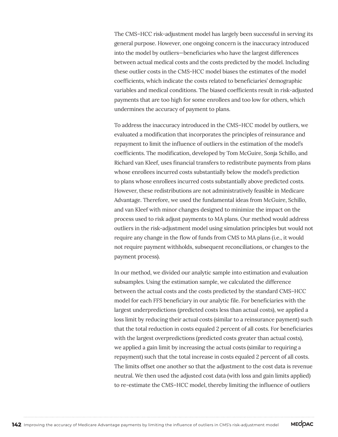The CMS–HCC risk-adjustment model has largely been successful in serving its general purpose. However, one ongoing concern is the inaccuracy introduced into the model by outliers—beneficiaries who have the largest differences between actual medical costs and the costs predicted by the model. Including these outlier costs in the CMS-HCC model biases the estimates of the model coefficients, which indicate the costs related to beneficiaries' demographic variables and medical conditions. The biased coefficients result in risk-adjusted payments that are too high for some enrollees and too low for others, which undermines the accuracy of payment to plans.

To address the inaccuracy introduced in the CMS–HCC model by outliers, we evaluated a modification that incorporates the principles of reinsurance and repayment to limit the influence of outliers in the estimation of the model's coefficients. The modification, developed by Tom McGuire, Sonja Schillo, and Richard van Kleef, uses financial transfers to redistribute payments from plans whose enrollees incurred costs substantially below the model's prediction to plans whose enrollees incurred costs substantially above predicted costs. However, these redistributions are not administratively feasible in Medicare Advantage. Therefore, we used the fundamental ideas from McGuire, Schillo, and van Kleef with minor changes designed to minimize the impact on the process used to risk adjust payments to MA plans. Our method would address outliers in the risk-adjustment model using simulation principles but would not require any change in the flow of funds from CMS to MA plans (i.e., it would not require payment withholds, subsequent reconciliations, or changes to the payment process).

In our method, we divided our analytic sample into estimation and evaluation subsamples. Using the estimation sample, we calculated the difference between the actual costs and the costs predicted by the standard CMS–HCC model for each FFS beneficiary in our analytic file. For beneficiaries with the largest underpredictions (predicted costs less than actual costs), we applied a loss limit by reducing their actual costs (similar to a reinsurance payment) such that the total reduction in costs equaled 2 percent of all costs. For beneficiaries with the largest overpredictions (predicted costs greater than actual costs), we applied a gain limit by increasing the actual costs (similar to requiring a repayment) such that the total increase in costs equaled 2 percent of all costs. The limits offset one another so that the adjustment to the cost data is revenue neutral. We then used the adjusted cost data (with loss and gain limits applied) to re-estimate the CMS–HCC model, thereby limiting the influence of outliers

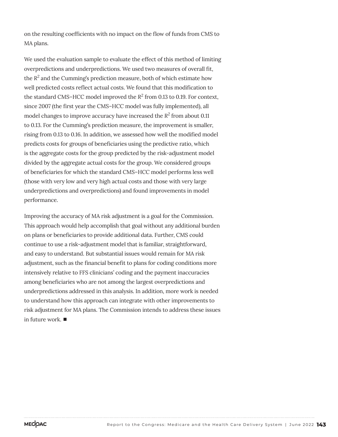on the resulting coefficients with no impact on the flow of funds from CMS to MA plans.

We used the evaluation sample to evaluate the effect of this method of limiting overpredictions and underpredictions. We used two measures of overall fit, the  $R^2$  and the Cumming's prediction measure, both of which estimate how well predicted costs reflect actual costs. We found that this modification to the standard CMS–HCC model improved the  $R^2$  from 0.13 to 0.19. For context, since 2007 (the first year the CMS–HCC model was fully implemented), all model changes to improve accuracy have increased the *R<sup>2</sup>* from about 0.11 to 0.13. For the Cumming's prediction measure, the improvement is smaller, rising from 0.13 to 0.16. In addition, we assessed how well the modified model predicts costs for groups of beneficiaries using the predictive ratio, which is the aggregate costs for the group predicted by the risk-adjustment model divided by the aggregate actual costs for the group. We considered groups of beneficiaries for which the standard CMS–HCC model performs less well (those with very low and very high actual costs and those with very large underpredictions and overpredictions) and found improvements in model performance.

Improving the accuracy of MA risk adjustment is a goal for the Commission. This approach would help accomplish that goal without any additional burden on plans or beneficiaries to provide additional data. Further, CMS could continue to use a risk-adjustment model that is familiar, straightforward, and easy to understand. But substantial issues would remain for MA risk adjustment, such as the financial benefit to plans for coding conditions more intensively relative to FFS clinicians' coding and the payment inaccuracies among beneficiaries who are not among the largest overpredictions and underpredictions addressed in this analysis. In addition, more work is needed to understand how this approach can integrate with other improvements to risk adjustment for MA plans. The Commission intends to address these issues in future work. ■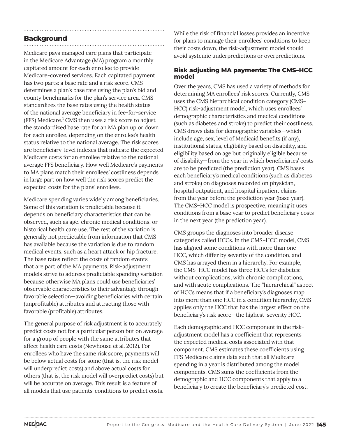### **Background**

Medicare pays managed care plans that participate in the Medicare Advantage (MA) program a monthly capitated amount for each enrollee to provide Medicare-covered services. Each capitated payment has two parts: a base rate and a risk score. CMS determines a plan's base rate using the plan's bid and county benchmarks for the plan's service area. CMS standardizes the base rates using the health status of the national average beneficiary in fee-for-service (FFS) Medicare.<sup>1</sup> CMS then uses a risk score to adjust the standardized base rate for an MA plan up or down for each enrollee, depending on the enrollee's health status relative to the national average. The risk scores are beneficiary-level indexes that indicate the expected Medicare costs for an enrollee relative to the national average FFS beneficiary. How well Medicare's payments to MA plans match their enrollees' costliness depends in large part on how well the risk scores predict the expected costs for the plans' enrollees.

Medicare spending varies widely among beneficiaries. Some of this variation is predictable because it depends on beneficiary characteristics that can be observed, such as age, chronic medical conditions, or historical health care use. The rest of the variation is generally not predictable from information that CMS has available because the variation is due to random medical events, such as a heart attack or hip fracture. The base rates reflect the costs of random events that are part of the MA payments. Risk-adjustment models strive to address predictable spending variation because otherwise MA plans could use beneficiaries' observable characteristics to their advantage through favorable selection—avoiding beneficiaries with certain (unprofitable) attributes and attracting those with favorable (profitable) attributes.

The general purpose of risk adjustment is to accurately predict costs not for a particular person but on average for a group of people with the same attributes that affect health care costs (Newhouse et al. 2012). For enrollees who have the same risk score, payments will be below actual costs for some (that is, the risk model will underpredict costs) and above actual costs for others (that is, the risk model will overpredict costs) but will be accurate on average. This result is a feature of all models that use patients' conditions to predict costs.

While the risk of financial losses provides an incentive for plans to manage their enrollees' conditions to keep their costs down, the risk-adjustment model should avoid systemic underpredictions or overpredictions.

#### **Risk adjusting MA payments: The CMS–HCC model**

Over the years, CMS has used a variety of methods for determining MA enrollees' risk scores. Currently, CMS uses the CMS hierarchical condition category (CMS– HCC) risk-adjustment model, which uses enrollees' demographic characteristics and medical conditions (such as diabetes and stroke) to predict their costliness. CMS draws data for demographic variables—which include age, sex, level of Medicaid benefits (if any), institutional status, eligibility based on disability, and eligibility based on age but originally eligible because of disability—from the year in which beneficiaries' costs are to be predicted (the prediction year). CMS bases each beneficiary's medical conditions (such as diabetes and stroke) on diagnoses recorded on physician, hospital outpatient, and hospital inpatient claims from the year before the prediction year (base year). The CMS–HCC model is prospective, meaning it uses conditions from a base year to predict beneficiary costs in the next year (the prediction year).

CMS groups the diagnoses into broader disease categories called HCCs. In the CMS–HCC model, CMS has aligned some conditions with more than one HCC, which differ by severity of the condition, and CMS has arrayed them in a hierarchy. For example, the CMS–HCC model has three HCCs for diabetes: without complications, with chronic complications, and with acute complications. The "hierarchical" aspect of HCCs means that if a beneficiary's diagnoses map into more than one HCC in a condition hierarchy, CMS applies only the HCC that has the largest effect on the beneficiary's risk score—the highest-severity HCC.

Each demographic and HCC component in the riskadjustment model has a coefficient that represents the expected medical costs associated with that component. CMS estimates these coefficients using FFS Medicare claims data such that all Medicare spending in a year is distributed among the model components. CMS sums the coefficients from the demographic and HCC components that apply to a beneficiary to create the beneficiary's predicted cost.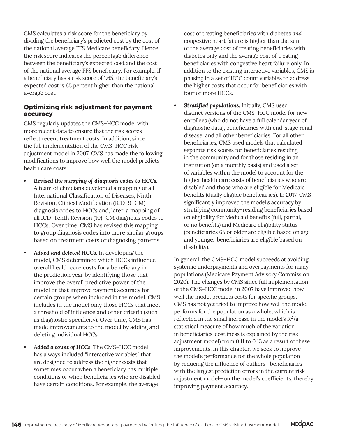CMS calculates a risk score for the beneficiary by dividing the beneficiary's predicted cost by the cost of the national average FFS Medicare beneficiary. Hence, the risk score indicates the percentage difference between the beneficiary's expected cost and the cost of the national average FFS beneficiary. For example, if a beneficiary has a risk score of 1.65, the beneficiary's expected cost is 65 percent higher than the national average cost.

#### **Optimizing risk adjustment for payment accuracy**

CMS regularly updates the CMS–HCC model with more recent data to ensure that the risk scores reflect recent treatment costs. In addition, since the full implementation of the CMS–HCC riskadjustment model in 2007, CMS has made the following modifications to improve how well the model predicts health care costs:

- *• Revised the mapping of diagnosis codes to HCCs.* A team of clinicians developed a mapping of all International Classification of Diseases, Ninth Revision, Clinical Modification (ICD–9–CM) diagnosis codes to HCCs and, later, a mapping of all ICD–Tenth Revision (10)–CM diagnosis codes to HCCs. Over time, CMS has revised this mapping to group diagnosis codes into more similar groups based on treatment costs or diagnosing patterns.
- *• Added and deleted HCCs.* In developing the model, CMS determined which HCCs influence overall health care costs for a beneficiary in the prediction year by identifying those that improve the overall predictive power of the model or that improve payment accuracy for certain groups when included in the model. CMS includes in the model only those HCCs that meet a threshold of influence and other criteria (such as diagnostic specificity). Over time, CMS has made improvements to the model by adding and deleting individual HCCs.
- *• Added a count of HCCs.* The CMS–HCC model has always included "interactive variables" that are designed to address the higher costs that sometimes occur when a beneficiary has multiple conditions or when beneficiaries who are disabled have certain conditions. For example, the average

cost of treating beneficiaries with diabetes *and* congestive heart failure is higher than the sum of the average cost of treating beneficiaries with diabetes only and the average cost of treating beneficiaries with congestive heart failure only. In addition to the existing interactive variables, CMS is phasing in a set of HCC count variables to address the higher costs that occur for beneficiaries with four or more HCCs.

*• Stratified populations.* Initially, CMS used distinct versions of the CMS–HCC model for new enrollees (who do not have a full calendar year of diagnostic data), beneficiaries with end-stage renal disease, and all other beneficiaries. For all other beneficiaries, CMS used models that calculated separate risk scores for beneficiaries residing in the community and for those residing in an institution (on a monthly basis) and used a set of variables within the model to account for the higher health care costs of beneficiaries who are disabled and those who are eligible for Medicaid benefits (dually eligible beneficiaries). In 2017, CMS significantly improved the model's accuracy by stratifying community-residing beneficiaries based on eligibility for Medicaid benefits (full, partial, or no benefits) and Medicare eligibility status (beneficiaries 65 or older are eligible based on age and younger beneficiaries are eligible based on disability).

In general, the CMS–HCC model succeeds at avoiding systemic underpayments and overpayments for many populations (Medicare Payment Advisory Commission 2020). The changes by CMS since full implementation of the CMS–HCC model in 2007 have improved how well the model predicts costs for specific groups. CMS has not yet tried to improve how well the model performs for the population as a whole, which is reflected in the small increase in the model's  $R^2$  (a statistical measure of how much of the variation in beneficiaries' costliness is explained by the riskadjustment model) from 0.11 to 0.13 as a result of these improvements. In this chapter, we seek to improve the model's performance for the whole population by reducing the influence of outliers—beneficiaries with the largest prediction errors in the current riskadjustment model—on the model's coefficients, thereby improving payment accuracy.

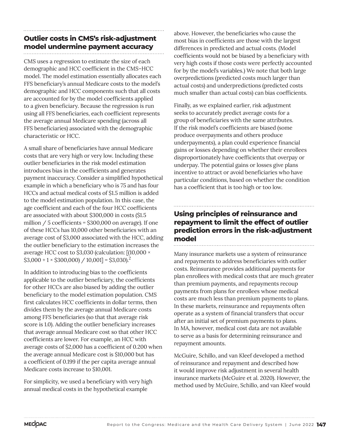# **Outlier costs in CMS's risk-adjustment model undermine payment accuracy**

CMS uses a regression to estimate the size of each demographic and HCC coefficient in the CMS–HCC model. The model estimation essentially allocates each FFS beneficiary's annual Medicare costs to the model's demographic and HCC components such that all costs are accounted for by the model coefficients applied to a given beneficiary. Because the regression is run using all FFS beneficiaries, each coefficient represents the average annual Medicare spending (across all FFS beneficiaries) associated with the demographic characteristic or HCC.

A small share of beneficiaries have annual Medicare costs that are very high or very low. Including these outlier beneficiaries in the risk model estimation introduces bias in the coefficients and generates payment inaccuracy. Consider a simplified hypothetical example in which a beneficiary who is 75 and has four HCCs and actual medical costs of \$1.5 million is added to the model estimation population. In this case, the age coefficient and each of the four HCC coefficients are associated with about \$300,000 in costs (\$1.5 million / 5 coefficients = \$300,000 on average). If one of these HCCs has 10,000 other beneficiaries with an average cost of \$3,000 associated with the HCC, adding the outlier beneficiary to the estimation increases the average HCC cost to \$3,030 (calculation: [(10,000 ×  $$3,000 + 1 \times $300,000) / 10,001] = $3,030$ .<sup>2</sup>

In addition to introducing bias to the coefficients applicable to the outlier beneficiary, the coefficients for other HCCs are also biased by adding the outlier beneficiary to the model estimation population. CMS first calculates HCC coefficients in dollar terms, then divides them by the average annual Medicare costs among FFS beneficiaries (so that that average risk score is 1.0). Adding the outlier beneficiary increases that average annual Medicare cost so that other HCC coefficients are lower. For example, an HCC with average costs of \$2,000 has a coefficient of 0.200 when the average annual Medicare cost is \$10,000 but has a coefficient of 0.199 if the per capita average annual Medicare costs increase to \$10,001.

For simplicity, we used a beneficiary with very high annual medical costs in the hypothetical example

above. However, the beneficiaries who cause the most bias in coefficients are those with the largest differences in predicted and actual costs. (Model coefficients would not be biased by a beneficiary with very high costs if those costs were perfectly accounted for by the model's variables.) We note that both large overpredictions (predicted costs much larger than actual costs) and underpredictions (predicted costs much smaller than actual costs) can bias coefficients.

Finally, as we explained earlier, risk adjustment seeks to accurately predict average costs for a group of beneficiaries with the same attributes. If the risk model's coefficients are biased (some produce overpayments and others produce underpayments), a plan could experience financial gains or losses depending on whether their enrollees disproportionately have coefficients that overpay or underpay. The potential gains or losses give plans incentive to attract or avoid beneficiaries who have particular conditions, based on whether the condition has a coefficient that is too high or too low.

# **Using principles of reinsurance and repayment to limit the effect of outlier prediction errors in the risk-adjustment model**

Many insurance markets use a system of reinsurance and repayments to address beneficiaries with outlier costs. Reinsurance provides additional payments for plan enrollees with medical costs that are much greater than premium payments, and repayments recoup payments from plans for enrollees whose medical costs are much less than premium payments to plans. In these markets, reinsurance and repayments often operate as a system of financial transfers that occur after an initial set of premium payments to plans. In MA, however, medical cost data are not available to serve as a basis for determining reinsurance and repayment amounts.

McGuire, Schillo, and van Kleef developed a method of reinsurance and repayment and described how it would improve risk adjustment in several health insurance markets (McGuire et al. 2020). However, the method used by McGuire, Schillo, and van Kleef would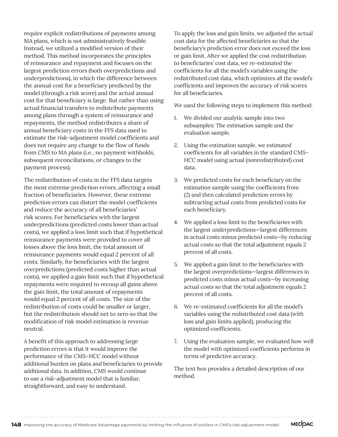require explicit redistributions of payments among MA plans, which is not administratively feasible. Instead, we utilized a modified version of their method. This method incorporates the principles of reinsurance and repayment and focuses on the largest prediction errors (both overpredictions and underpredictions), in which the difference between the annual cost for a beneficiary predicted by the model (through a risk score) and the actual annual cost for that beneficiary is large. But rather than using actual financial transfers to redistribute payments among plans through a system of reinsurance and repayments, the method redistributes a share of annual beneficiary costs in the FFS data used to estimate the risk-adjustment model coefficients and does not require any change to the flow of funds from CMS to MA plans (i.e., no payment withholds, subsequent reconciliations, or changes to the payment process).

The redistribution of costs in the FFS data targets the most extreme prediction errors, affecting a small fraction of beneficiaries. However, these extreme prediction errors can distort the model coefficients and reduce the accuracy of all beneficiaries' risk scores. For beneficiaries with the largest underpredictions (predicted costs lower than actual costs), we applied a loss limit such that if hypothetical reinsurance payments were provided to cover all losses above the loss limit, the total amount of reinsurance payments would equal 2 percent of all costs. Similarly, for beneficiaries with the largest overpredictions (predicted costs higher than actual costs), we applied a gain limit such that if hypothetical repayments were required to recoup all gains above the gain limit, the total amount of repayments would equal 2 percent of all costs. The size of the redistribution of costs could be smaller or larger, but the redistribution should net to zero so that the modification of risk model estimation is revenue neutral.

A benefit of this approach to addressing large prediction errors is that it would improve the performance of the CMS–HCC model without additional burden on plans and beneficiaries to provide additional data. In addition, CMS would continue to use a risk-adjustment model that is familiar, straightforward, and easy to understand.

To apply the loss and gain limits, we adjusted the actual cost data for the affected beneficiaries so that the beneficiary's prediction error does not exceed the loss or gain limit. After we applied the cost redistribution to beneficiaries' cost data, we re-estimated the coefficients for all the model's variables using the redistributed cost data, which optimizes all the model's coefficients and improves the accuracy of risk scores for all beneficiaries.

We used the following steps to implement this method:

- 1. We divided our analytic sample into two subsamples: The estimation sample and the evaluation sample.
- 2. Using the estimation sample, we estimated coefficients for all variables in the standard CMS– HCC model using actual (nonredistributed) cost data.
- 3. We predicted costs for each beneficiary on the estimation sample using the coefficients from (2) and then calculated prediction errors by subtracting actual costs from predicted costs for each beneficiary.
- 4. We applied a loss limit to the beneficiaries with the largest underpredictions—largest differences in actual costs minus predicted costs—by reducing actual costs so that the total adjustment equals 2 percent of all costs.
- 5. We applied a gain limit to the beneficiaries with the largest overpredictions—largest differences in predicted costs minus actual costs—by increasing actual costs so that the total adjustment equals 2 percent of all costs.
- 6. We re-estimated coefficients for all the model's variables using the redistributed cost data (with loss and gain limits applied), producing the optimized coefficients.
- 7. Using the evaluation sample, we evaluated how well the model with optimized coefficients performs in terms of predictive accuracy.

The text box provides a detailed description of our method.

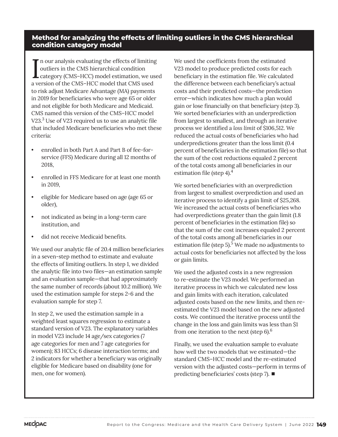#### **Method for analyzing the effects of limiting outliers in the CMS hierarchical condition category model**

In our analysis evaluating the effects of limiting<br>
outliers in the CMS hierarchical condition<br>
category (CMS–HCC) model estimation, we used<br>
a varyion of the CMS–HCC model that CMS used  $\blacksquare$  n our analysis evaluating the effects of limiting outliers in the CMS hierarchical condition a version of the CMS–HCC model that CMS used to risk adjust Medicare Advantage (MA) payments in 2019 for beneficiaries who were age 65 or older and not eligible for both Medicare and Medicaid. CMS named this version of the CMS–HCC model V23.<sup>3</sup> Use of V23 required us to use an analytic file that included Medicare beneficiaries who met these criteria:

- enrolled in both Part A and Part B of fee-forservice (FFS) Medicare during all 12 months of 2018,
- enrolled in FFS Medicare for at least one month in 2019,
- eligible for Medicare based on age (age 65 or older),
- not indicated as being in a long-term care institution, and
- did not receive Medicaid benefits.

We used our analytic file of 20.4 million beneficiaries in a seven-step method to estimate and evaluate the effects of limiting outliers. In step 1, we divided the analytic file into two files—an estimation sample and an evaluation sample—that had approximately the same number of records (about 10.2 million). We used the estimation sample for steps 2-6 and the evaluation sample for step 7.

In step 2, we used the estimation sample in a weighted least squares regression to estimate a standard version of V23. The explanatory variables in model V23 include 14 age/sex categories (7 age categories for men and 7 age categories for women); 83 HCCs; 6 disease interaction terms; and 2 indicators for whether a beneficiary was originally eligible for Medicare based on disability (one for men, one for women).

We used the coefficients from the estimated V23 model to produce predicted costs for each beneficiary in the estimation file. We calculated the difference between each beneficiary's actual costs and their predicted costs—the prediction error—which indicates how much a plan would gain or lose financially on that beneficiary (step 3). We sorted beneficiaries with an underprediction from largest to smallest, and through an iterative process we identified a *loss limit* of \$106,512. We reduced the actual costs of beneficiaries who had underpredictions greater than the loss limit (0.4 percent of beneficiaries in the estimation file) so that the sum of the cost reductions equaled 2 percent of the total costs among all beneficiaries in our estimation file (step 4).<sup>4</sup>

We sorted beneficiaries with an overprediction from largest to smallest overprediction and used an iterative process to identify a gain limit of \$25,268. We increased the actual costs of beneficiaries who had overpredictions greater than the gain limit (1.8 percent of beneficiaries in the estimation file) so that the sum of the cost increases equaled 2 percent of the total costs among all beneficiaries in our estimation file (step  $5$ ).<sup>5</sup> We made no adjustments to actual costs for beneficiaries not affected by the loss or gain limits.

We used the adjusted costs in a new regression to re-estimate the V23 model. We performed an iterative process in which we calculated new loss and gain limits with each iteration, calculated adjusted costs based on the new limits, and then reestimated the V23 model based on the new adjusted costs. We continued the iterative process until the change in the loss and gain limits was less than \$1 from one iteration to the next (step 6).<sup>6</sup>

Finally, we used the evaluation sample to evaluate how well the two models that we estimated—the standard CMS–HCC model and the re-estimated version with the adjusted costs—perform in terms of predicting beneficiaries' costs (step 7). ■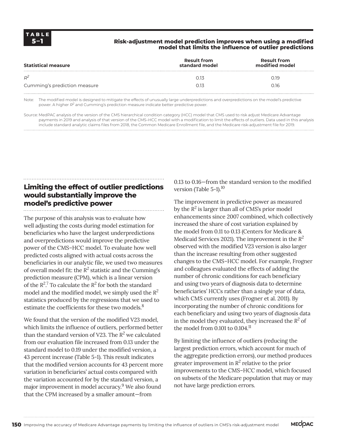#### **5–1 Risk-adjustment model prediction improves when using a modified model that limits the influence of outlier predictions**

| <b>Statistical measure</b>   | <b>Result from</b><br>standard model | <b>Result from</b><br>modified model |  |
|------------------------------|--------------------------------------|--------------------------------------|--|
| $R^2$                        |                                      | N 19                                 |  |
| Cumming's prediction measure |                                      | 0.16                                 |  |

Note: The modified model is designed to mitigate the effects of unusually large underpredictions and overpredictions on the model's predictive power. A higher *R2* and Cumming's prediction measure indicate better predictive power.

Source: MedPAC analysis of the version of the CMS hierarchical condition category (HCC) model that CMS used to risk adjust Medicare Advantage payments in 2019 and analysis of that version of the CMS–HCC model with a modification to limit the effects of outliers. Data used in this analysis include standard analytic claims files from 2018, the Common Medicare Enrollment file, and the Medicare risk-adjustment file for 2019.

# **Limiting the effect of outlier predictions would substantially improve the model's predictive power**

The purpose of this analysis was to evaluate how well adjusting the costs during model estimation for beneficiaries who have the largest underpredictions and overpredictions would improve the predictive power of the CMS–HCC model. To evaluate how well predicted costs aligned with actual costs across the beneficiaries in our analytic file, we used two measures of overall model fit: the  $R^2$  statistic and the Cumming's prediction measure (CPM), which is a linear version of the  $R^2$ <sup>7</sup> To calculate the  $R^2$  for both the standard model and the modified model, we simply used the *R<sup>2</sup>* statistics produced by the regressions that we used to estimate the coefficients for these two models.<sup>8</sup>

We found that the version of the modified V23 model. which limits the influence of outliers, performed better than the standard version of V23. The *R<sup>2</sup>* we calculated from our evaluation file increased from 0.13 under the standard model to 0.19 under the modified version, a 43 percent increase (Table 5-1). This result indicates that the modified version accounts for 43 percent more variation in beneficiaries' actual costs compared with the variation accounted for by the standard version, a major improvement in model accuracy.<sup>9</sup> We also found that the CPM increased by a smaller amount—from

0.13 to 0.16—from the standard version to the modified version (Table 5-1).<sup>10</sup>

The improvement in predictive power as measured by the *R<sup>2</sup>* is larger than all of CMS's prior model enhancements since 2007 combined, which collectively increased the share of cost variation explained by the model from 0.11 to 0.13 (Centers for Medicare & Medicaid Services 2021). The improvement in the *R<sup>2</sup>* observed with the modified V23 version is also larger than the increase resulting from other suggested changes to the CMS–HCC model. For example, Frogner and colleagues evaluated the effects of adding the number of chronic conditions for each beneficiary and using two years of diagnosis data to determine beneficiaries' HCCs rather than a single year of data, which CMS currently uses (Frogner et al. 2011). By incorporating the number of chronic conditions for each beneficiary and using two years of diagnosis data in the model they evaluated, they increased the  $R^2$  of the model from  $0.101$  to  $0.104$ .<sup>11</sup>

By limiting the influence of outliers (reducing the largest prediction errors, which account for much of the aggregate prediction errors), our method produces greater improvement in  $R^2$  relative to the prior improvements to the CMS–HCC model, which focused on subsets of the Medicare population that may or may not have large prediction errors.

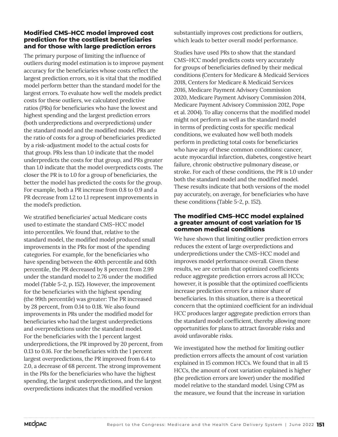#### **Modified CMS–HCC model improved cost prediction for the costliest beneficiaries and for those with large prediction errors**

The primary purpose of limiting the influence of outliers during model estimation is to improve payment accuracy for the beneficiaries whose costs reflect the largest prediction errors, so it is vital that the modified model perform better than the standard model for the largest errors. To evaluate how well the models predict costs for these outliers, we calculated predictive ratios (PRs) for beneficiaries who have the lowest and highest spending and the largest prediction errors (both underpredictions and overpredictions) under the standard model and the modified model. PRs are the ratio of costs for a group of beneficiaries predicted by a risk-adjustment model to the actual costs for that group. PRs less than 1.0 indicate that the model underpredicts the costs for that group, and PRs greater than 1.0 indicate that the model overpredicts costs. The closer the PR is to 1.0 for a group of beneficiaries, the better the model has predicted the costs for the group. For example, both a PR increase from 0.8 to 0.9 and a PR decrease from 1.2 to 1.1 represent improvements in the model's prediction.

We stratified beneficiaries' actual Medicare costs used to estimate the standard CMS–HCC model into percentiles. We found that, relative to the standard model, the modified model produced small improvements in the PRs for most of the spending categories. For example, for the beneficiaries who have spending between the 40th percentile and 60th percentile, the PR decreased by 8 percent from 2.99 under the standard model to 2.76 under the modified model (Table 5-2, p. 152). However, the improvement for the beneficiaries with the highest spending (the 99th percentile) was greater: The PR increased by 28 percent, from 0.14 to 0.18. We also found improvements in PRs under the modified model for beneficiaries who had the largest underpredictions and overpredictions under the standard model. For the beneficiaries with the 1 percent largest underpredictions, the PR improved by 20 percent, from 0.13 to 0.16. For the beneficiaries with the 1 percent largest overpredictions, the PR improved from 6.4 to 2.0, a decrease of 68 percent. The strong improvement in the PRs for the beneficiaries who have the highest spending, the largest underpredictions, and the largest overpredictions indicates that the modified version

substantially improves cost predictions for outliers, which leads to better overall model performance.

Studies have used PRs to show that the standard CMS–HCC model predicts costs very accurately for groups of beneficiaries defined by their medical conditions (Centers for Medicare & Medicaid Services 2018, Centers for Medicare & Medicaid Services 2016, Medicare Payment Advisory Commission 2020, Medicare Payment Advisory Commission 2014, Medicare Payment Advisory Commission 2012, Pope et al. 2004). To allay concerns that the modified model might not perform as well as the standard model in terms of predicting costs for specific medical conditions, we evaluated how well both models perform in predicting total costs for beneficiaries who have any of these common conditions: cancer, acute myocardial infarction, diabetes, congestive heart failure, chronic obstructive pulmonary disease, or stroke. For each of these conditions, the PR is 1.0 under both the standard model and the modified model. These results indicate that both versions of the model pay accurately, on average, for beneficiaries who have these conditions (Table 5-2, p. 152).

#### **The modified CMS–HCC model explained a greater amount of cost variation for 15 common medical conditions**

We have shown that limiting outlier prediction errors reduces the extent of large overpredictions and underpredictions under the CMS–HCC model and improves model performance overall. Given these results, we are certain that optimized coefficients reduce aggregate prediction errors across all HCCs; however, it is possible that the optimized coefficients increase prediction errors for a minor share of beneficiaries. In this situation, there is a theoretical concern that the optimized coefficient for an individual HCC produces larger aggregate prediction errors than the standard model coefficient, thereby allowing more opportunities for plans to attract favorable risks and avoid unfavorable risks.

We investigated how the method for limiting outlier prediction errors affects the amount of cost variation explained in 15 common HCCs. We found that in all 15 HCCs, the amount of cost variation explained is higher (the prediction errors are lower) under the modified model relative to the standard model. Using CPM as the measure, we found that the increase in variation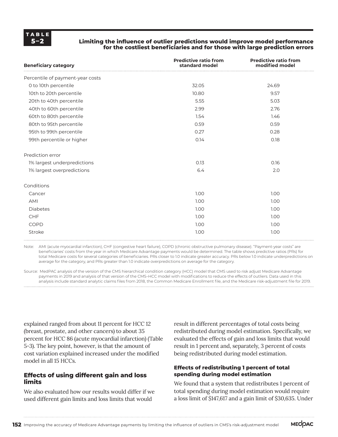#### **Limiting the influence of outlier predictions would improve model performance for the costliest beneficiaries and for those with large prediction errors**

| <b>Beneficiary category</b>      | <b>Predictive ratio from</b><br>standard model | <b>Predictive ratio from</b><br>modified model |  |
|----------------------------------|------------------------------------------------|------------------------------------------------|--|
| Percentile of payment-year costs |                                                |                                                |  |
| 0 to 10th percentile             | 32.05                                          | 24.69                                          |  |
| 10th to 20th percentile          | 10.80                                          | 9.57                                           |  |
| 20th to 40th percentile          | 5.55                                           | 5.03                                           |  |
| 40th to 60th percentile          | 2.99                                           | 2.76                                           |  |
| 60th to 80th percentile          | 1.54                                           | 1.46                                           |  |
| 80th to 95th percentile          | 0.59                                           | 0.59                                           |  |
| 95th to 99th percentile          | 0.27                                           | 0.28                                           |  |
| 99th percentile or higher        | 0.14                                           | 0.18                                           |  |
| Prediction error                 |                                                |                                                |  |
| 1% largest underpredictions      | 0.13                                           | 0.16                                           |  |
| 1% largest overpredictions       | 6.4                                            | 2.0                                            |  |
| Conditions                       |                                                |                                                |  |
| Cancer                           | 1.00                                           | 1.00                                           |  |
| AMI                              | 1.00                                           | 1.00                                           |  |
| <b>Diabetes</b>                  | 1.00                                           | 1.00                                           |  |
| <b>CHF</b>                       | 1.00                                           | 1.00                                           |  |
| COPD                             | 1.00                                           | 1.00                                           |  |
| Stroke                           | 1.00                                           | 1.00                                           |  |

Note: AMI (acute myocardial infarction), CHF (congestive heart failure), COPD (chronic obstructive pulmonary disease). "Payment-year costs" are beneficiaries' costs from the year in which Medicare Advantage payments would be determined. The table shows predictive ratios (PRs) for total Medicare costs for several categories of beneficiaries. PRs closer to 1.0 indicate greater accuracy. PRs below 1.0 indicate underpredictions on average for the category, and PRs greater than 1.0 indicate overpredictions on average for the category.

Source: MedPAC analysis of the version of the CMS hierarchical condition category (HCC) model that CMS used to risk adjust Medicare Advantage payments in 2019 and analysis of that version of the CMS–HCC model with modifications to reduce the effects of outliers. Data used in this analysis include standard analytic claims files from 2018, the Common Medicare Enrollment file, and the Medicare risk-adjustment file for 2019.

explained ranged from about 11 percent for HCC 12 (breast, prostate, and other cancers) to about 35 percent for HCC 86 (acute myocardial infarction) (Table 5-3). The key point, however, is that the amount of cost variation explained increased under the modified model in all 15 HCCs.

#### **Effects of using different gain and loss limits**

We also evaluated how our results would differ if we used different gain limits and loss limits that would

result in different percentages of total costs being redistributed during model estimation. Specifically, we evaluated the effects of gain and loss limits that would result in 1 percent and, separately, 3 percent of costs being redistributed during model estimation.

#### **Effects of redistributing 1 percent of total spending during model estimation**

We found that a system that redistributes 1 percent of total spending during model estimation would require a loss limit of \$147,617 and a gain limit of \$30,635. Under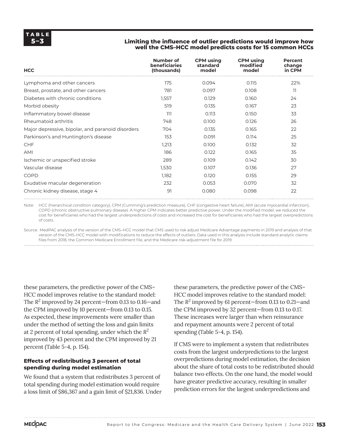#### **Limiting the influence of outlier predictions would improve how well the CMS–HCC model predicts costs for 15 common HCCs**

| <b>HCC</b>                                        | Number of<br><b>beneficiaries</b><br>(thousands) | <b>CPM</b> using<br>standard<br>model | <b>CPM</b> using<br>modified<br>model | Percent<br>change<br>in CPM |
|---------------------------------------------------|--------------------------------------------------|---------------------------------------|---------------------------------------|-----------------------------|
| Lymphoma and other cancers                        | 175                                              | 0.094                                 | 0.115                                 | 22%                         |
| Breast, prostate, and other cancers               | 781                                              | 0.097                                 | 0.108                                 | 11                          |
| Diabetes with chronic conditions                  | 1,557                                            | 0.129                                 | 0.160                                 | 24                          |
| Morbid obesity                                    | 519                                              | 0.135                                 | 0.167                                 | 23                          |
| Inflammatory bowel disease                        | ווו                                              | 0.113                                 | 0.150                                 | 33                          |
| Rheumatoid arthritis                              | 748                                              | 0.100                                 | 0.126                                 | 26                          |
| Major depressive, bipolar, and paranoid disorders | 704                                              | 0.135                                 | 0.165                                 | 22                          |
| Parkinson's and Huntington's disease              | 153                                              | 0.091                                 | 0.114                                 | 25                          |
| <b>CHF</b>                                        | 1,213                                            | 0.100                                 | 0.132                                 | 32                          |
| AMI                                               | 186                                              | 0.122                                 | 0.165                                 | 35                          |
| Ischemic or unspecified stroke                    | 289                                              | 0.109                                 | 0.142                                 | 30                          |
| Vascular disease                                  | 1,530                                            | 0.107                                 | 0.136                                 | 27                          |
| COPD                                              | 1,182                                            | 0.120                                 | 0.155                                 | 29                          |
| Exudative macular degeneration                    | 232                                              | 0.053                                 | 0.070                                 | 32                          |
| Chronic kidney disease, stage 4                   | 91                                               | 0.080                                 | 0.098                                 | 22                          |

Note: HCC (hierarchical condition category), CPM (Cumming's prediction measure), CHF (congestive heart failure), AMI (acute myocardial infarction), COPD (chronic obstructive pulmonary disease). A higher CPM indicates better predictive power. Under the modified model, we reduced the cost for beneficiaries who had the largest underpredictions of costs and increased the cost for beneficiaries who had the largest overpredictions of costs.

Source: MedPAC analysis of the version of the CMS–HCC model that CMS used to risk adjust Medicare Advantage payments in 2019 and analysis of that version of the CMS–HCC model with modifications to reduce the effects of outliers. Data used in this analysis include standard analytic claims files from 2018, the Common Medicare Enrollment file, and the Medicare risk-adjustment file for 2019.

these parameters, the predictive power of the CMS– HCC model improves relative to the standard model: The  $R^2$  improved by 24 percent—from 0.13 to 0.16—and the CPM improved by 10 percent—from 0.13 to 0.15. As expected, these improvements were smaller than under the method of setting the loss and gain limits at 2 percent of total spending, under which the *R<sup>2</sup>* improved by 43 percent and the CPM improved by 21 percent (Table 5-4, p. 154).

#### **Effects of redistributing 3 percent of total spending during model estimation**

We found that a system that redistributes 3 percent of total spending during model estimation would require a loss limit of \$86,367 and a gain limit of \$21,836. Under

these parameters, the predictive power of the CMS– HCC model improves relative to the standard model: The *R<sup>2</sup>* improved by 61 percent—from 0.13 to 0.21—and the CPM improved by 32 percent—from 0.13 to 0.17. These increases were larger than when reinsurance and repayment amounts were 2 percent of total spending (Table 5-4, p. 154).

If CMS were to implement a system that redistributes costs from the largest underpredictions to the largest overpredictions during model estimation, the decision about the share of total costs to be redistributed should balance two effects. On the one hand, the model would have greater predictive accuracy, resulting in smaller prediction errors for the largest underpredictions and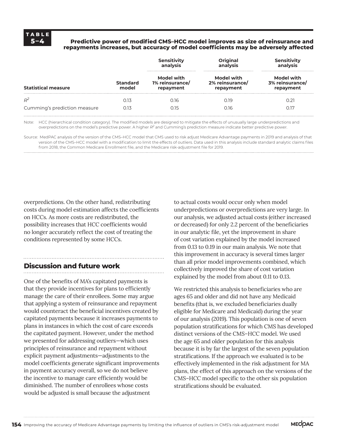#### **5–4 Predictive power of modified CMS–HCC model improves as size of reinsurance and repayments increases, but accuracy of model coefficients may be adversely affected**

|                              |                          | Sensitivity<br>analysis                           | Original<br>analysis                       | Sensitivity<br>analysis<br>Model with<br>3% reinsurance/<br>repayment |  |
|------------------------------|--------------------------|---------------------------------------------------|--------------------------------------------|-----------------------------------------------------------------------|--|
| <b>Statistical measure</b>   | <b>Standard</b><br>model | <b>Model with</b><br>1% reinsurance/<br>repayment | Model with<br>2% reinsurance/<br>repayment |                                                                       |  |
| $R^2$                        | 213                      | ู 16                                              | N 19                                       |                                                                       |  |
| Cumming's prediction measure | 0.13                     | 0.15                                              | 0.16                                       | 0.17                                                                  |  |

Note: HCC (hierarchical condition category). The modified models are designed to mitigate the effects of unusually large underpredictions and overpredictions on the model's predictive power. A higher *R2* and Cumming's prediction measure indicate better predictive power.

Source: MedPAC analysis of the version of the CMS–HCC model that CMS used to risk adjust Medicare Advantage payments in 2019 and analysis of that version of the CMS–HCC model with a modification to limit the effects of outliers. Data used in this analysis include standard analytic claims files from 2018, the Common Medicare Enrollment file, and the Medicare risk-adjustment file for 2019.

overpredictions. On the other hand, redistributing costs during model estimation affects the coefficients on HCCs. As more costs are redistributed, the possibility increases that HCC coefficients would no longer accurately reflect the cost of treating the conditions represented by some HCCs.

### **Discussion and future work**

One of the benefits of MA's capitated payments is that they provide incentives for plans to efficiently manage the care of their enrollees. Some may argue that applying a system of reinsurance and repayment would counteract the beneficial incentives created by capitated payments because it increases payments to plans in instances in which the cost of care exceeds the capitated payment. However, under the method we presented for addressing outliers—which uses principles of reinsurance and repayment without explicit payment adjustments—adjustments to the model coefficients generate significant improvements in payment accuracy overall, so we do not believe the incentive to manage care efficiently would be diminished. The number of enrollees whose costs would be adjusted is small because the adjustment

to actual costs would occur only when model underpredictions or overpredictions are very large. In our analysis, we adjusted actual costs (either increased or decreased) for only 2.2 percent of the beneficiaries in our analytic file, yet the improvement in share of cost variation explained by the model increased from 0.13 to 0.19 in our main analysis. We note that this improvement in accuracy is several times larger than all prior model improvements combined, which collectively improved the share of cost variation explained by the model from about 0.11 to 0.13.

We restricted this analysis to beneficiaries who are ages 65 and older and did not have any Medicaid benefits (that is, we excluded beneficiaries dually eligible for Medicare and Medicaid) during the year of our analysis (2019). This population is one of seven population stratifications for which CMS has developed distinct versions of the CMS–HCC model. We used the age 65 and older population for this analysis because it is by far the largest of the seven population stratifications. If the approach we evaluated is to be effectively implemented in the risk adjustment for MA plans, the effect of this approach on the versions of the CMS–HCC model specific to the other six population stratifications should be evaluated.

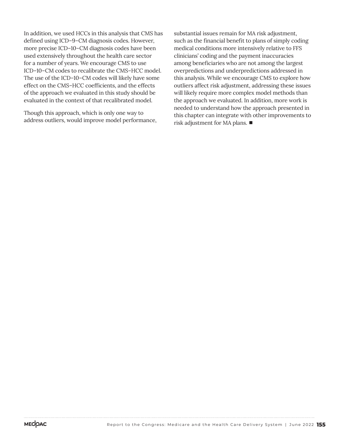In addition, we used HCCs in this analysis that CMS has defined using ICD–9–CM diagnosis codes. However, more precise ICD–10–CM diagnosis codes have been used extensively throughout the health care sector for a number of years. We encourage CMS to use ICD–10–CM codes to recalibrate the CMS–HCC model. The use of the ICD–10–CM codes will likely have some effect on the CMS–HCC coefficients, and the effects of the approach we evaluated in this study should be evaluated in the context of that recalibrated model.

Though this approach, which is only one way to address outliers, would improve model performance,

substantial issues remain for MA risk adjustment, such as the financial benefit to plans of simply coding medical conditions more intensively relative to FFS clinicians' coding and the payment inaccuracies among beneficiaries who are not among the largest overpredictions and underpredictions addressed in this analysis. While we encourage CMS to explore how outliers affect risk adjustment, addressing these issues will likely require more complex model methods than the approach we evaluated. In addition, more work is needed to understand how the approach presented in this chapter can integrate with other improvements to risk adjustment for MA plans. ■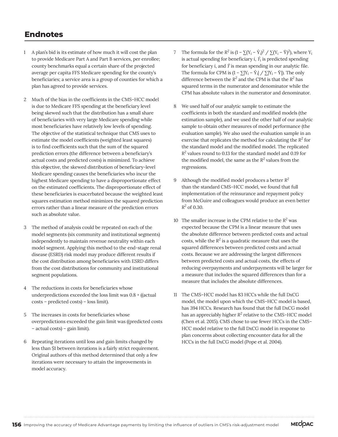# **Endnotes**

- 1 A plan's bid is its estimate of how much it will cost the plan to provide Medicare Part A and Part B services, per enrollee; county benchmarks equal a certain share of the projected average per capita FFS Medicare spending for the county's beneficiaries; a service area is a group of counties for which a plan has agreed to provide services.
- 2 Much of the bias in the coefficients in the CMS–HCC model is due to Medicare FFS spending at the beneficiary level being skewed such that the distribution has a small share of beneficiaries with very large Medicare spending while most beneficiaries have relatively low levels of spending. The objective of the statistical technique that CMS uses to estimate the model coefficients (weighted least squares) is to find coefficients such that the sum of the squared prediction errors (the difference between a beneficiary's actual costs and predicted costs) is minimized. To achieve this objective, the skewed distribution of beneficiary-level Medicare spending causes the beneficiaries who incur the highest Medicare spending to have a disproportionate effect on the estimated coefficients. The disproportionate effect of these beneficiaries is exacerbated because the weighted least squares estimation method minimizes the squared prediction errors rather than a linear measure of the prediction errors such as absolute value.
- 3 The method of analysis could be repeated on each of the model segments (six community and institutional segments) independently to maintain revenue neutrality within each model segment. Applying this method to the end-stage renal disease (ESRD) risk model may produce different results if the cost distribution among beneficiaries with ESRD differs from the cost distributions for community and institutional segment populations.
- 4 The reductions in costs for beneficiaries whose underpredictions exceeded the loss limit was 0.8 × ((actual costs – predicted costs) – loss limit).
- 5 The increases in costs for beneficiaries whose overpredictions exceeded the gain limit was ((predicted costs – actual costs) – gain limit).
- 6 Repeating iterations until loss and gain limits changed by less than \$1 between iterations is a fairly strict requirement. Original authors of this method determined that only a few iterations were necessary to attain the improvements in model accuracy.
- 7 The formula for the  $R^2$  is  $(1 \sum (Y_i \hat{Y}_i)^2 / \sum (Y_i \bar{Y})^2)$ , where  $Y_i$ is actual spending for beneficiary  $i$ ,  $\hat{Y}_i$  is predicted spending for beneficiary  $i$ , and  $\bar{Y}$  is mean spending in our analytic file. The formula for CPM is  $(1 - \sum |Y_i - \hat{Y}_i| / \sum |Y_i - \bar{Y}|)$ . The only difference between the  $R^2$  and the CPM is that the  $R^2$  has squared terms in the numerator and denominator while the CPM has absolute values in the numerator and denominator.
- 8 We used half of our analytic sample to estimate the coefficients in both the standard and modified models (the estimation sample), and we used the other half of our analytic sample to obtain other measures of model performance (the evaluation sample). We also used the evaluation sample in an exercise that replicates the method for calculating the  $R^2$  for the standard model and the modified model. The replicated *R2* values round to 0.13 for the standard model and 0.19 for the modified model, the same as the  $R^2$  values from the regressions.
- 9 Although the modified model produces a better *R<sup>2</sup>* than the standard CMS–HCC model, we found that full implementation of the reinsurance and repayment policy from McGuire and colleagues would produce an even better *R2* of 0.30.
- 10 The smaller increase in the CPM relative to the *R<sup>2</sup>* was expected because the CPM is a linear measure that uses the absolute difference between predicted costs and actual costs, while the  $R^2$  is a quadratic measure that uses the squared differences between predicted costs and actual costs. Because we are addressing the largest differences between predicted costs and actual costs, the effects of reducing overpayments and underpayments will be larger for a measure that includes the squared differences than for a measure that includes the absolute differences.
- 11 The CMS–HCC model has 83 HCCs while the full DxCG model, the model upon which the CMS–HCC model is based, has 394 HCCs. Research has found that the full DxCG model has an appreciably higher  $R^2$  relative to the CMS–HCC model (Chen et al. 2015). CMS chose to use fewer HCCs in the CMS– HCC model relative to the full DxCG model in response to plan concerns about collecting encounter data for all the HCCs in the full DxCG model (Pope et al. 2004).